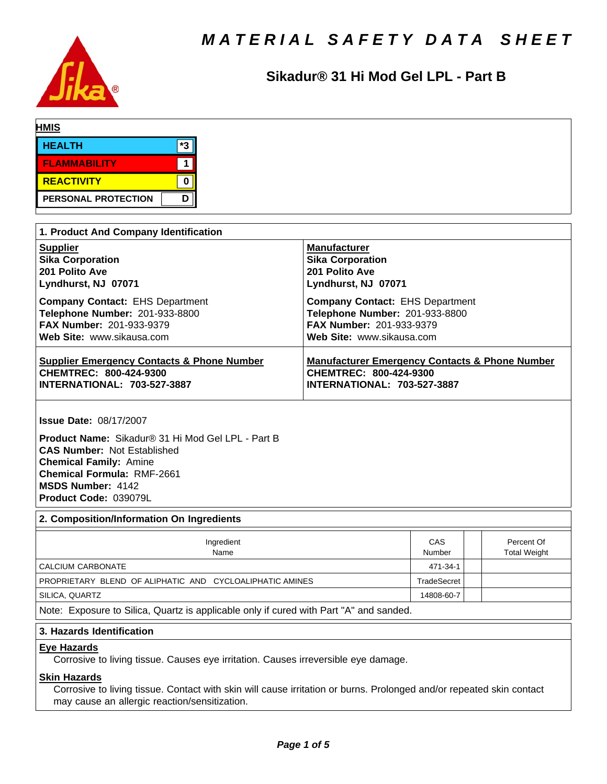

# Sikadur<sup>®</sup> 31 Hi Mod Gel LPL - Part B

| <b>HMIS</b>         |    |  |  |
|---------------------|----|--|--|
| <b>HEALTH</b>       | *3 |  |  |
| <b>FLAMMABILITY</b> |    |  |  |
| REACTIVITY          |    |  |  |
| PERSONAL PROTECTION | D  |  |  |

| 1. Product And Company Identification                 |                                                           |  |  |  |  |
|-------------------------------------------------------|-----------------------------------------------------------|--|--|--|--|
| <b>Supplier</b>                                       | <b>Manufacturer</b>                                       |  |  |  |  |
| <b>Sika Corporation</b>                               | <b>Sika Corporation</b>                                   |  |  |  |  |
| 201 Polito Ave                                        | 201 Polito Ave                                            |  |  |  |  |
| Lyndhurst, NJ 07071                                   | Lyndhurst, NJ 07071                                       |  |  |  |  |
| <b>Company Contact: EHS Department</b>                | <b>Company Contact: EHS Department</b>                    |  |  |  |  |
| Telephone Number: 201-933-8800                        | Telephone Number: 201-933-8800                            |  |  |  |  |
| <b>FAX Number: 201-933-9379</b>                       | FAX Number: 201-933-9379                                  |  |  |  |  |
| Web Site: www.sikausa.com                             | Web Site: www.sikausa.com                                 |  |  |  |  |
| <b>Supplier Emergency Contacts &amp; Phone Number</b> | <b>Manufacturer Emergency Contacts &amp; Phone Number</b> |  |  |  |  |
| CHEMTREC: 800-424-9300                                | CHEMTREC: 800-424-9300                                    |  |  |  |  |
| <b>INTERNATIONAL: 703-527-3887</b>                    | <b>INTERNATIONAL: 703-527-3887</b>                        |  |  |  |  |

**Issue Date:** 08/17/2007

Product Name: Sikadur® 31 Hi Mod Gel LPL - Part B **CAS Number:** Not Established **Chemical Family:** Amine **Chemical Formula:** RMF-2661 **MSDS Number:** 4142 **Product Code:** 039079L

## **2. Composition/Information On Ingredients**

| Ingredient<br>Name                                                                     | CAS<br>Number |  | Percent Of<br><b>Total Weight</b> |  |  |
|----------------------------------------------------------------------------------------|---------------|--|-----------------------------------|--|--|
| CALCIUM CARBONATE                                                                      | 471-34-1      |  |                                   |  |  |
| PROPRIETARY BLEND OF ALIPHATIC AND CYCLOALIPHATIC AMINES                               | TradeSecret   |  |                                   |  |  |
| SILICA, QUARTZ                                                                         | 14808-60-7    |  |                                   |  |  |
| Note: Exposure to Silica, Quartz is applicable only if cured with Part "A" and sanded. |               |  |                                   |  |  |

## **3. Hazards Identification**

#### **Eye Hazards**

Corrosive to living tissue. Causes eye irritation. Causes irreversible eye damage.

# **Skin Hazards**

Corrosive to living tissue. Contact with skin will cause irritation or burns. Prolonged and/or repeated skin contact may cause an allergic reaction/sensitization.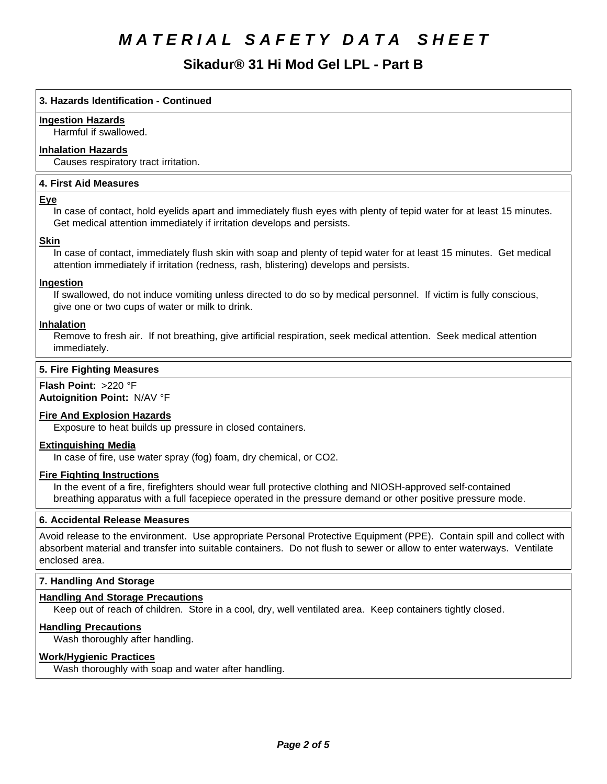# **Sikadur®31HiModGelLPL-PartB**

## **3. Hazards Identification - Continued**

## **Ingestion Hazards**

Harmful if swallowed.

## **Inhalation Hazards**

Causes respiratory tract irritation.

#### **4.First AidMeasures**

#### **Eye**

In case of contact, hold eyelids apart and immediately flush eyes with plenty of tepid water for at least 15 minutes. Get medical attention immediately if irritation develops and persists.

#### **Skin**

In case of contact, immediately flush skin with soap and plenty of tepid water for at least 15 minutes. Get medical attention immediately if irritation (redness, rash, blistering) develops and persists.

## **Ingestion**

If swallowed, do not induce vomiting unless directed to do so by medical personnel. If victim is fully conscious, give one or two cups of water or milk to drink.

#### **Inhalation**

Remove to fresh air. If not breathing, give artificial respiration, seek medical attention. Seek medical attention immediately.

#### **5. Fire Fighting Measures**

**Flash Point:** >220 °F **Autoignition Point:** N/AV°F

#### **Fire And Explosion Hazards**

Exposure to heat builds up pressure in closed containers.

#### **Extinguishing Media**

In case of fire, use water spray (fog) foam, dry chemical, or CO2.

#### **Fire Fighting Instructions**

In the event of a fire, firefighters should wear full protective clothing and NIOSH-approved self-contained breathing apparatus with a full facepiece operated in the pressure demand or other positive pressure mode.

#### **6. Accidental Release Measures**

Avoid release to the environment. Use appropriate Personal Protective Equipment (PPE). Contain spill and collect with absorbent material and transfer into suitable containers. Do not flush to sewer or allow to enter waterways. Ventilate enclosed area.

#### **7. Handling And Storage**

#### **Handling And Storage Precautions**

Keep out of reach of children. Store in a cool, dry, well ventilated area. Keep containers tightly closed.

#### **Handling Precautions**

Wash thoroughly after handling.

#### **Work/Hygienic Practices**

Wash thoroughly with soap and water after handling.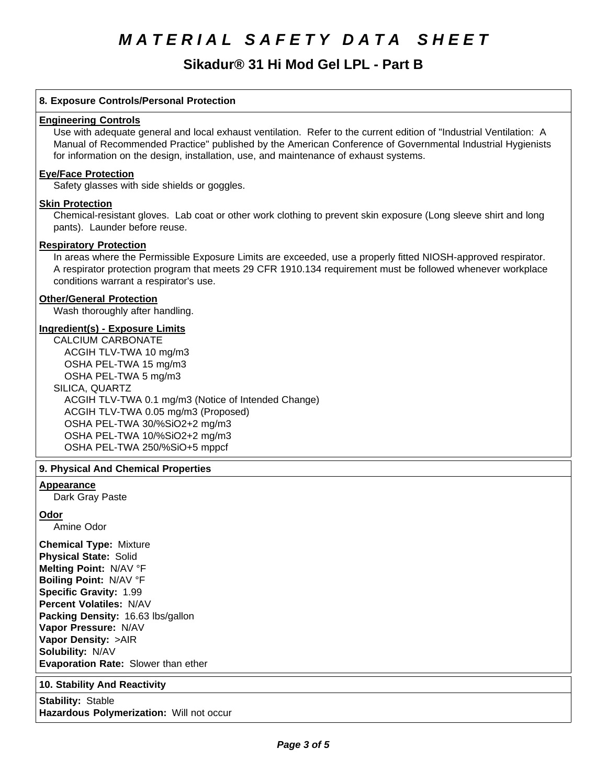# **Sikadur®31HiModGelLPL-PartB**

## **8. Exposure Controls/Personal Protection**

#### **Engineering Controls**

Use with adequate general and local exhaust ventilation. Refer to the current edition of "Industrial Ventilation: A Manual of Recommended Practice" published by the American Conference of Governmental Industrial Hygienists for information on the design, installation, use, and maintenance of exhaust systems.

#### **Eye/Face Protection**

Safety glasses with side shields or goggles.

#### **Skin Protection**

Chemical-resistant gloves. Lab coat or other work clothing to prevent skin exposure (Long sleeve shirt and long pants). Launder before reuse.

#### **Respiratory Protection**

In areas where the Permissible Exposure Limits are exceeded, use a properly fitted NIOSH-approved respirator. A respirator protection program that meets 29 CFR 1910.134 requirement must be followed whenever workplace conditions warrant a respirator's use.

#### **Other/General Protection**

Wash thoroughly after handling.

#### **Ingredient(s) - Exposure Limits**

CALCIUM CARBONATE ACGIH TLV-TWA10 mg/m3 OSHA PEL-TWA 15 mg/m3 OSHA PEL-TWA 5 mg/m3 SILICA, QUARTZ ACGIH TLV-TWA 0.1 mg/m3 (Notice of Intended Change) ACGIH TLV-TWA 0.05 mg/m3 (Proposed) OSHA PEL-TWA 30/%SiO2+2 mg/m3 OSHA PEL-TWA 10/%SiO2+2 mg/m3 OSHA PEL-TWA 250/%SiO+5 mppcf

#### **9. Physical And Chemical Properties**

#### **Appearance**

Dark Gray Paste

#### **Odor**

Amine Odor

**Chemical Type:** Mixture **Physical State:** Solid **Melting Point:** N/AV°F **Boiling Point:** N/AV°F **Specific Gravity:** 1.99 **Percent Volatiles:** N/AV **Packing Density:** 16.63 lbs/gallon **Vapor Pressure:** N/AV **Vapor Density:** >AIR **Solubility: N/AV Evaporation Rate:** Slower than ether

#### **10. Stability And Reactivity**

**Stability: Stable Hazardous Polymerization: Will not occur**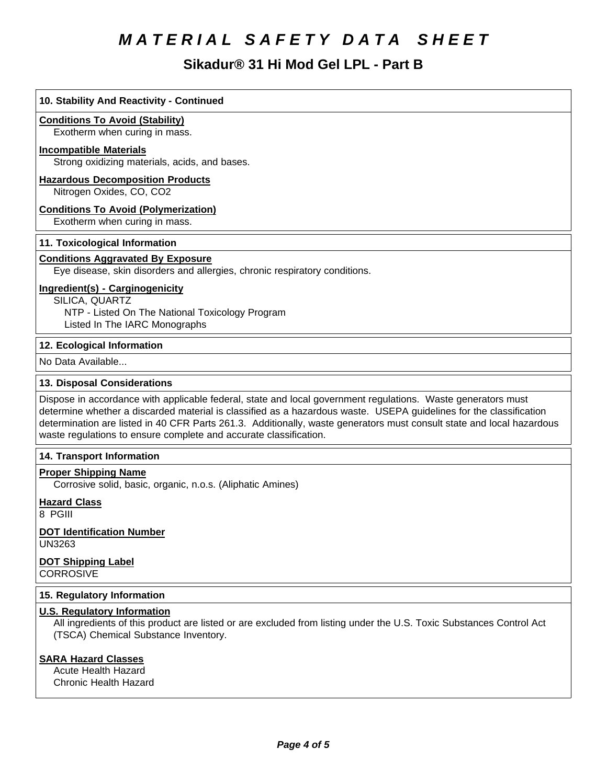# **Sikadur®31HiModGelLPL-PartB**

# **10. Stability And Reactivity - Continued Conditions To Avoid (Stability)** Exotherm when curing in mass. **Incompatible Materials** Strong oxidizing materials, acids, and bases. **Hazardous Decomposition Products** Nitrogen Oxides, CO, CO2 **Conditions To Avoid (Polymerization)** Exotherm when curing in mass. **11. Toxicological Information Conditions Aggravated By Exposure** Eye disease, skin disorders and allergies, chronic respiratory conditions. **Ingredient(s) - Carginogenicity** SILICA, QUARTZ NTP - Listed On The National Toxicology Program Listed In The IARC Monographs **12. Ecological Information** No Data Available... **13. Disposal Considerations** Dispose in accordance with applicable federal, state and local government regulations. Waste generators must determine whether a discarded material is classified as a hazardous waste. USEPA guidelines for the classification determination are listed in 40 CFR Parts 261.3. Additionally, waste generators must consult state and local hazardous waste regulations to ensure complete and accurate classification. **14. Transport Information Proper Shipping Name** Corrosive solid, basic, organic, n.o.s. (Aliphatic Amines) **Hazard Class**

8 PGIII

**DOT Identification Number** UN3263

**DOT Shipping Label CORROSIVE** 

# **15. Regulatory Information**

# **U.S. Regulatory Information**

All ingredients of this product are listed or are excluded from listing under the U.S. Toxic Substances Control Act (TSCA) Chemical Substance Inventory.

# **SARA Hazard Classes**

Acute Health Hazard Chronic Health Hazard